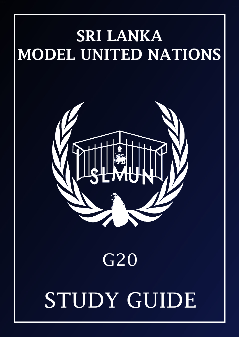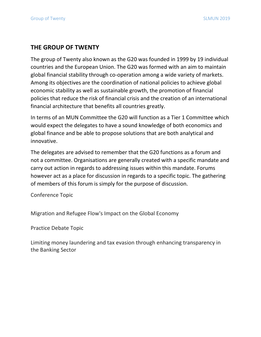# **THE GROUP OF TWENTY**

The group of Twenty also known as the G20 was founded in 1999 by 19 individual countries and the European Union. The G20 was formed with an aim to maintain global financial stability through co-operation among a wide variety of markets. Among its objectives are the coordination of national policies to achieve global economic stability as well as sustainable growth, the promotion of financial policies that reduce the risk of financial crisis and the creation of an international financial architecture that benefits all countries greatly.

In terms of an MUN Committee the G20 will function as a Tier 1 Committee which would expect the delegates to have a sound knowledge of both economics and global finance and be able to propose solutions that are both analytical and innovative.

The delegates are advised to remember that the G20 functions as a forum and not a committee. Organisations are generally created with a specific mandate and carry out action in regards to addressing issues within this mandate. Forums however act as a place for discussion in regards to a specific topic. The gathering of members of this forum is simply for the purpose of discussion.

Conference Topic

Migration and Refugee Flow's Impact on the Global Economy

Practice Debate Topic

Limiting money laundering and tax evasion through enhancing transparency in the Banking Sector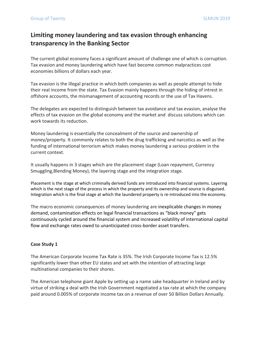# **Limiting money laundering and tax evasion through enhancing transparency in the Banking Sector**

The current global economy faces a significant amount of challenge one of which is corruption. Tax evasion and money laundering which have fast become common malpractices cost economies billions of dollars each year.

Tax evasion is the illegal practice in which both companies as well as people attempt to hide their real income from the state. Tax Evasion mainly happens through the hiding of intrest in offshore accounts, the mismanagement of accounting records or the use of Tax Havens.

The delegates are expected to distinguish between tax avoidance and tax evasion, analyse the effects of tax evasion on the global economy and the market and discuss solutions which can work towards its reduction.

Money laundering is essentially the concealment of the source and ownership of money/property. It commonly relates to both the drug trafficking and narcotics as well as the funding of international terrorism which makes money laundering a serious problem in the current context.

It usually happens in 3 stages which are the placement stage (Loan repayment, Currency Smuggling,Blending Money), the layering stage and the integration stage.

Placement is the stage at which criminally derived funds are introduced into financial systems. Layering which is the next stage of the process in which the property and its ownership and source is disguised. Integration which is the final stage at which the laundered property is re-introduced into the economy.

The macro economic consequences of money laundering are inexplicable changes in money demand, contamination effects on legal financial transactions as "black money" gets continuously cycled around the financial system and increased volatility of international capital flow and exchange rates owed to unanticipated cross-border asset transfers.

#### **Case Study 1**

The American Corporate Income Tax Rate is 35%. The Irish Corporate Income Tax is 12.5% significantly lower than other EU states and set with the intention of attracting large multinational companies to their shores.

The American telephone giant Apple by setting up a name sake headquarter in Ireland and by virtue of striking a deal with the Irish Government negotiated a tax rate at which the company paid around 0.005% of corporate income tax on a revenue of over 50 Billion Dollars Annually.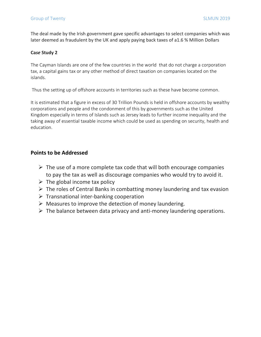The deal made by the Irish government gave specific advantages to select companies which was later deemed as fraudulent by the UK and apply paying back taxes of a1.6 % Million Dollars

#### **Ca***se* **Study 2**

The Cayman Islands are one of the few countries in the world that do not charge a corporation tax, a capital gains tax or any other method of direct taxation on companies located on the islands.

Thus the setting up of offshore accounts in territories such as these have become common.

It is estimated that a figure in excess of 30 Trillion Pounds is held in offshore accounts by wealthy corporations and people and the condonment of this by governments such as the United Kingdom especially in terms of Islands such as Jersey leads to further income inequality and the taking away of essential taxable income which could be used as spending on security, health and education.

### **Points to be Addressed**

- $\triangleright$  The use of a more complete tax code that will both encourage companies to pay the tax as well as discourage companies who would try to avoid it.
- $\triangleright$  The global income tax policy
- $\triangleright$  The roles of Central Banks in combatting money laundering and tax evasion
- $\triangleright$  Transnational inter-banking cooperation
- $\triangleright$  Measures to improve the detection of money laundering.
- $\triangleright$  The balance between data privacy and anti-money laundering operations.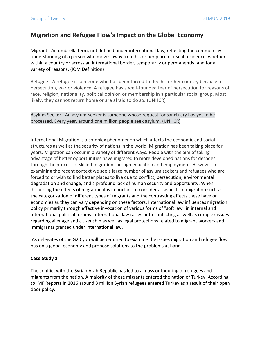# **Migration and Refugee Flow's Impact on the Global Economy**

Migrant - An umbrella term, not defined under international law, reflecting the common lay understanding of a person who moves away from his or her place of usual residence, whether within a country or across an international border, temporarily or permanently, and for a variety of reasons. (IOM Definition)

Refugee - A refugee is someone who has been forced to flee his or her country because of persecution, war or violence. A refugee has a well-founded fear of persecution for reasons of race, religion, nationality, political opinion or membership in a particular social group. Most likely, they cannot return home or are afraid to do so. (UNHCR)

Asylum Seeker - An asylum-seeker is someone whose request for sanctuary has yet to be processed. Every year, around one million people seek asylum. (UNHCR)

International Migration is a complex phenomenon which affects the economic and social structures as well as the security of nations in the world. Migration has been taking place for years. Migration can occur in a variety of different ways. People with the aim of taking advantage of better opportunities have migrated to more developed nations for decades through the process of skilled migration through education and employment. However in examining the recent context we see a large number of asylum seekers and refugees who are forced to or wish to find better places to live due to conflict, persecution, environmental degradation and change, and a profound lack of human security and opportunity. When discussing the effects of migration it is important to consider all aspects of migration such as the categorization of different types of migrants and the contrasting effects these have on economies as they can vary depending on these factors. International law influences migration policy primarily through effective invocation of various forms of "soft law" in internal and international political forums. International law raises both conflicting as well as complex issues regarding alienage and citizenship as well as legal protections related to migrant workers and immigrants granted under international law.

As delegates of the G20 you will be required to examine the issues migration and refugee flow has on a global economy and propose solutions to the problems at hand.

#### **Case Study 1**

The conflict with the Syrian Arab Republic has led to a mass outpouring of refugees and migrants from the nation. A majority of these migrants entered the nation of Turkey. According to IMF Reports in 2016 around 3 million Syrian refugees entered Turkey as a result of their open door policy.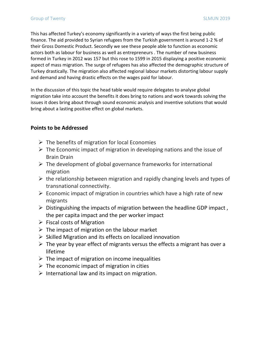This has affected Turkey's economy significantly in a variety of ways the first being public finance. The aid provided to Syrian refugees from the Turkish government is around 1-2 % of their Gross Domestic Product. Secondly we see these people able to function as economic actors both as labour for business as well as entrepreneurs . The number of new business formed in Turkey in 2012 was 157 but this rose to 1599 in 2015 displaying a positive economic aspect of mass migration. The surge of refugees has also affected the demographic structure of Turkey drastically. The migration also affected regional labour markets distorting labour supply and demand and having drastic effects on the wages paid for labour.

In the discussion of this topic the head table would require delegates to analyse global migration take into account the benefits it does bring to nations and work towards solving the issues it does bring about through sound economic analysis and inventive solutions that would bring about a lasting positive effect on global markets.

## **Points to be Addressed**

- $\triangleright$  The benefits of migration for local Economies
- $\triangleright$  The Economic impact of migration in developing nations and the issue of Brain Drain
- $\triangleright$  The development of global governance frameworks for international migration
- $\triangleright$  the relationship between migration and rapidly changing levels and types of transnational connectivity.
- $\triangleright$  Economic impact of migration in countries which have a high rate of new migrants
- $\triangleright$  Distinguishing the impacts of migration between the headline GDP impact, the per capita impact and the per worker impact
- $\triangleright$  Fiscal costs of Migration
- $\triangleright$  The impact of migration on the labour market
- $\triangleright$  Skilled Migration and its effects on localized innovation
- $\triangleright$  The year by year effect of migrants versus the effects a migrant has over a lifetime
- $\triangleright$  The impact of migration on income inequalities
- $\triangleright$  The economic impact of migration in cities
- $\triangleright$  International law and its impact on migration.